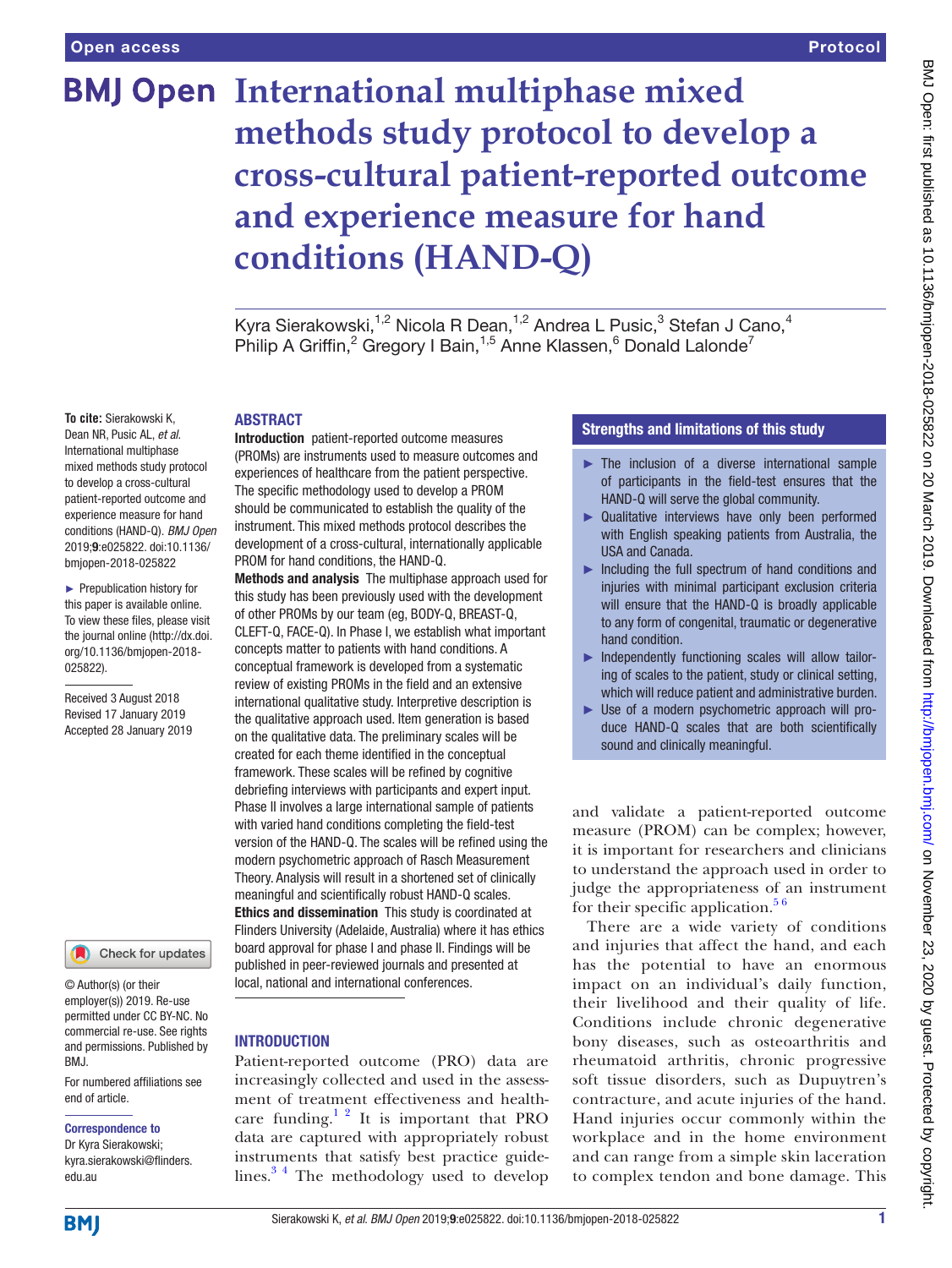# **BMJ Open International multiphase mixed methods study protocol to develop a cross-cultural patient-reported outcome and experience measure for hand conditions (HAND-Q)**

Kyra Sierakowski, $^{1,2}$  Nicola R Dean, $^{1,2}$  Andrea L Pusic, $^3$  Stefan J Cano, $^4$ Philip A Griffin,<sup>2</sup> Gregory I Bain,<sup>1,5</sup> Anne Klassen,<sup>6</sup> Donald Lalonde<sup>7</sup>

#### **ABSTRACT**

Introduction patient-reported outcome measures (PROMs) are instruments used to measure outcomes and experiences of healthcare from the patient perspective. The specific methodology used to develop a PROM should be communicated to establish the quality of the instrument. This mixed methods protocol describes the development of a cross-cultural, internationally applicable PROM for hand conditions, the HAND-Q.

Methods and analysis The multiphase approach used for this study has been previously used with the development of other PROMs by our team (eg, BODY-Q, BREAST-Q, CLEFT-Q, FACE-Q). In Phase I, we establish what important concepts matter to patients with hand conditions. A conceptual framework is developed from a systematic review of existing PROMs in the field and an extensive international qualitative study. Interpretive description is the qualitative approach used. Item generation is based on the qualitative data. The preliminary scales will be created for each theme identified in the conceptual framework. These scales will be refined by cognitive debriefing interviews with participants and expert input. Phase II involves a large international sample of patients with varied hand conditions completing the field-test version of the HAND-Q. The scales will be refined using the modern psychometric approach of Rasch Measurement Theory. Analysis will result in a shortened set of clinically meaningful and scientifically robust HAND-Q scales. Ethics and dissemination This study is coordinated at Flinders University (Adelaide, Australia) where it has ethics board approval for phase I and phase II. Findings will be published in peer-reviewed journals and presented at local, national and international conferences.

#### **INTRODUCTION**

Patient-reported outcome (PRO) data are increasingly collected and used in the assessment of treatment effectiveness and health-care funding.<sup>[1 2](#page-6-0)</sup> It is important that PRO data are captured with appropriately robust instruments that satisfy best practice guidelines. $3<sup>4</sup>$  The methodology used to develop

# Strengths and limitations of this study

- ► The inclusion of a diverse international sample of participants in the field-test ensures that the HAND-Q will serve the global community.
- ► Qualitative interviews have only been performed with English speaking patients from Australia, the USA and Canada.
- $\blacktriangleright$  Including the full spectrum of hand conditions and injuries with minimal participant exclusion criteria will ensure that the HAND-Q is broadly applicable to any form of congenital, traumatic or degenerative hand condition.
- ► Independently functioning scales will allow tailoring of scales to the patient, study or clinical setting, which will reduce patient and administrative burden.
- ► Use of a modern psychometric approach will produce HAND-Q scales that are both scientifically sound and clinically meaningful.

and validate a patient-reported outcome measure (PROM) can be complex; however, it is important for researchers and clinicians to understand the approach used in order to judge the appropriateness of an instrument for their specific application.<sup>56</sup>

There are a wide variety of conditions and injuries that affect the hand, and each has the potential to have an enormous impact on an individual's daily function, their livelihood and their quality of life. Conditions include chronic degenerative bony diseases, such as osteoarthritis and rheumatoid arthritis, chronic progressive soft tissue disorders, such as Dupuytren's contracture, and acute injuries of the hand. Hand injuries occur commonly within the workplace and in the home environment and can range from a simple skin laceration to complex tendon and bone damage. This

Dean NR, Pusic AL, *et al*. International multiphase mixed methods study protocol to develop a cross-cultural patient-reported outcome and experience measure for hand conditions (HAND-Q). *BMJ Open* 2019;9:e025822. doi:10.1136/ bmjopen-2018-025822

**To cite:** Sierakowski K,

► Prepublication history for this paper is available online. To view these files, please visit the journal online [\(http://dx.doi.](http://dx.doi.org/10.1136/bmjopen-2018-025822) [org/10.1136/bmjopen-2018-](http://dx.doi.org/10.1136/bmjopen-2018-025822) [025822\)](http://dx.doi.org/10.1136/bmjopen-2018-025822).

Received 3 August 2018 Revised 17 January 2019 Accepted 28 January 2019



© Author(s) (or their employer(s)) 2019. Re-use permitted under CC BY-NC. No commercial re-use. See rights and permissions. Published by BMJ.

For numbered affiliations see end of article.

#### Correspondence to

Dr Kyra Sierakowski; kyra.sierakowski@flinders. edu.au

BMJ Open: first published as 10.1136/bmjopen-2018-025822 on 20 March 2019. Downloaded from http://bmjopen.bmj.com/ on November 23, 2020 by guest. Protected by copyright BMJ Open: first published as 10.1136/bmjopen-2018-2018-022 on 20 March 2019. Downloaded from|open.bmj.com/ on November 23, 2020 by guest. Protected by copyright.

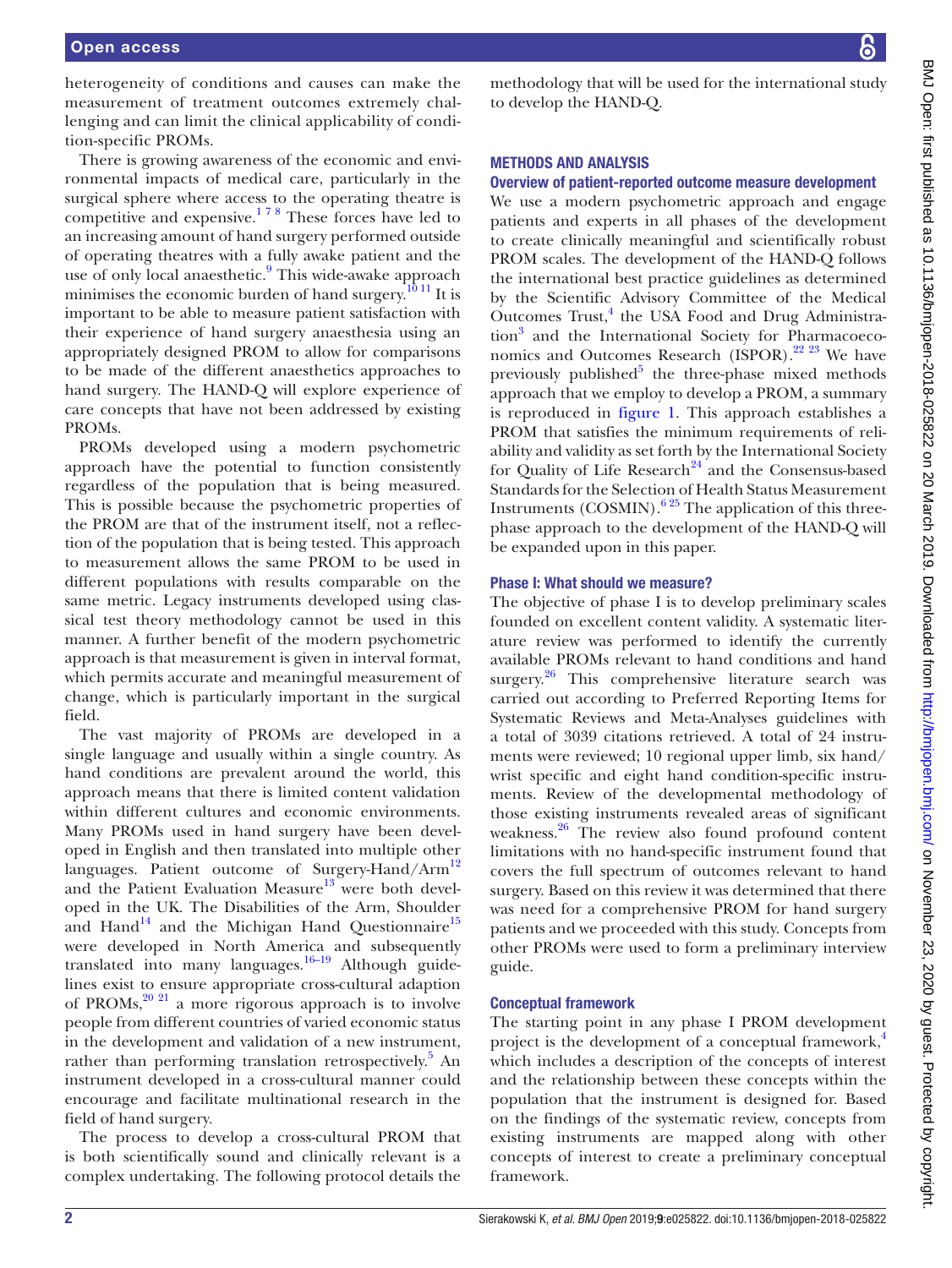heterogeneity of conditions and causes can make the measurement of treatment outcomes extremely challenging and can limit the clinical applicability of condition-specific PROMs.

There is growing awareness of the economic and environmental impacts of medical care, particularly in the surgical sphere where access to the operating theatre is competitive and expensive.<sup>178</sup> These forces have led to an increasing amount of hand surgery performed outside of operating theatres with a fully awake patient and the use of only local anaesthetic.<sup>[9](#page-6-3)</sup> This wide-awake approach minimises the economic burden of hand surgery.<sup>10 11</sup> It is important to be able to measure patient satisfaction with their experience of hand surgery anaesthesia using an appropriately designed PROM to allow for comparisons to be made of the different anaesthetics approaches to hand surgery. The HAND-Q will explore experience of care concepts that have not been addressed by existing PROMs.

PROMs developed using a modern psychometric approach have the potential to function consistently regardless of the population that is being measured. This is possible because the psychometric properties of the PROM are that of the instrument itself, not a reflection of the population that is being tested. This approach to measurement allows the same PROM to be used in different populations with results comparable on the same metric. Legacy instruments developed using classical test theory methodology cannot be used in this manner. A further benefit of the modern psychometric approach is that measurement is given in interval format, which permits accurate and meaningful measurement of change, which is particularly important in the surgical field.

The vast majority of PROMs are developed in a single language and usually within a single country. As hand conditions are prevalent around the world, this approach means that there is limited content validation within different cultures and economic environments. Many PROMs used in hand surgery have been developed in English and then translated into multiple other languages. Patient outcome of Surgery-Hand/Arm<sup>12</sup> and the Patient Evaluation Measure<sup>[13](#page-6-6)</sup> were both developed in the UK. The Disabilities of the Arm, Shoulder and Hand<sup>[14](#page-6-7)</sup> and the Michigan Hand Questionnaire<sup>15</sup> were developed in North America and subsequently translated into many languages.<sup>16–19</sup> Although guidelines exist to ensure appropriate cross-cultural adaption of PROMs, $^{20}$  <sup>21</sup> a more rigorous approach is to involve people from different countries of varied economic status in the development and validation of a new instrument, rather than performing translation retrospectively.<sup>[5](#page-6-2)</sup> An instrument developed in a cross-cultural manner could encourage and facilitate multinational research in the field of hand surgery.

The process to develop a cross-cultural PROM that is both scientifically sound and clinically relevant is a complex undertaking. The following protocol details the

methodology that will be used for the international study to develop the HAND-Q.

#### Methods and analysis

# Overview of patient-reported outcome measure development

We use a modern psychometric approach and engage patients and experts in all phases of the development to create clinically meaningful and scientifically robust PROM scales. The development of the HAND-Q follows the international best practice guidelines as determined by the Scientific Advisory Committee of the Medical Outcomes Trust,<sup>[4](#page-6-10)</sup> the USA Food and Drug Administration<sup>3</sup> and the International Society for Pharmacoeconomics and Outcomes Research (ISPOR).<sup>22 23</sup> We have previously published<sup>[5](#page-6-2)</sup> the three-phase mixed methods approach that we employ to develop a PROM, a summary is reproduced in [figure](#page-2-0) 1. This approach establishes a PROM that satisfies the minimum requirements of reliability and validity as set forth by the International Society for Quality of Life Research<sup>24</sup> and the Consensus-based Standards for the Selection of Health Status Measurement Instruments  $(COSMIN)$ .<sup>625</sup> The application of this threephase approach to the development of the HAND-Q will be expanded upon in this paper.

## Phase I: What should we measure?

The objective of phase I is to develop preliminary scales founded on excellent content validity. A systematic literature review was performed to identify the currently available PROMs relevant to hand conditions and hand surgery.<sup>26</sup> This comprehensive literature search was carried out according to Preferred Reporting Items for Systematic Reviews and Meta-Analyses guidelines with a total of 3039 citations retrieved. A total of 24 instruments were reviewed; 10 regional upper limb, six hand/ wrist specific and eight hand condition-specific instruments. Review of the developmental methodology of those existing instruments revealed areas of significant weakness.<sup>26</sup> The review also found profound content limitations with no hand-specific instrument found that covers the full spectrum of outcomes relevant to hand surgery. Based on this review it was determined that there was need for a comprehensive PROM for hand surgery patients and we proceeded with this study. Concepts from other PROMs were used to form a preliminary interview guide.

#### Conceptual framework

The starting point in any phase I PROM development project is the development of a conceptual framework, $4$ which includes a description of the concepts of interest and the relationship between these concepts within the population that the instrument is designed for. Based on the findings of the systematic review, concepts from existing instruments are mapped along with other concepts of interest to create a preliminary conceptual framework.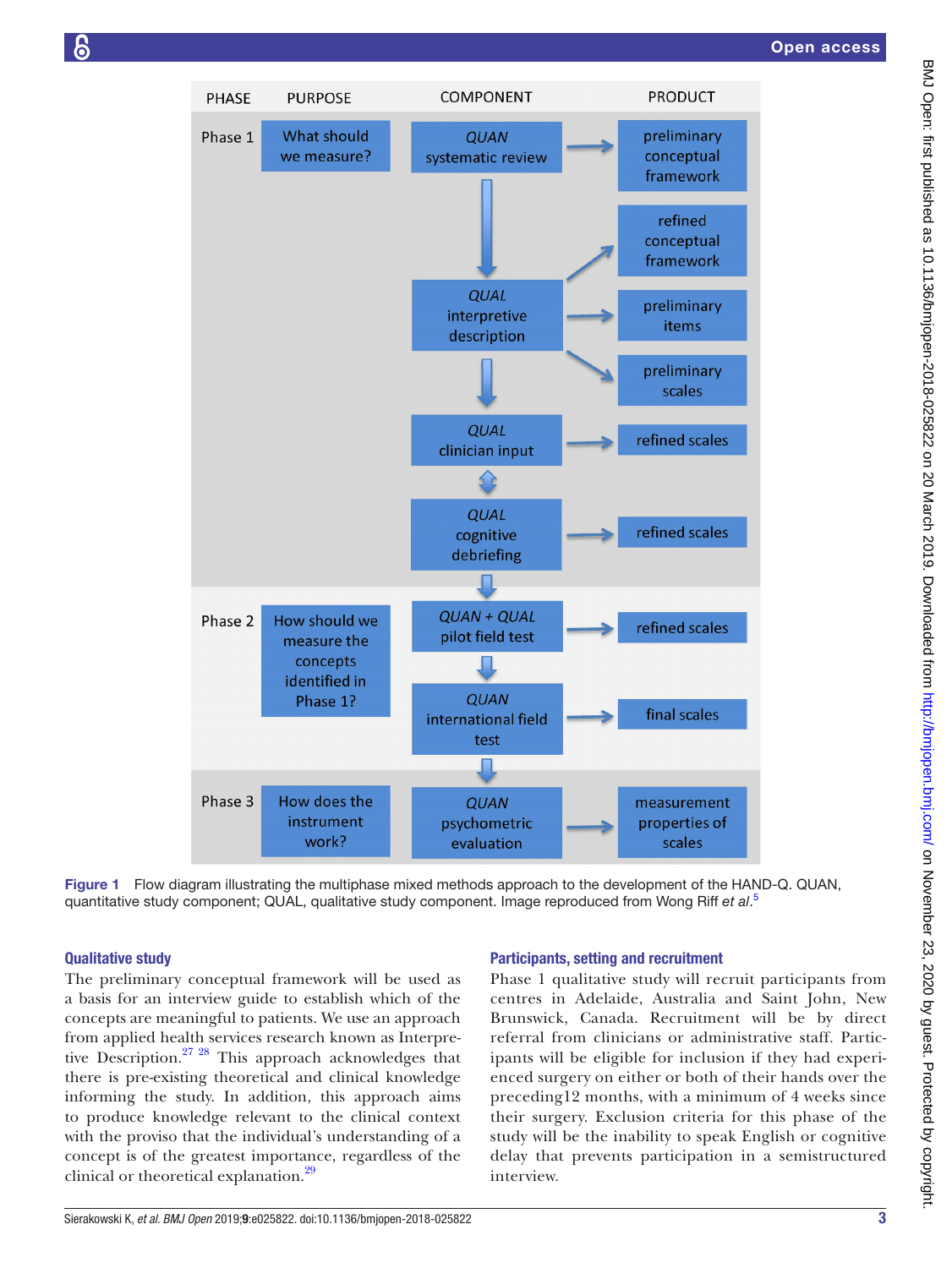

Figure 1 Flow diagram illustrating the multiphase mixed methods approach to the development of the HAND-Q. QUAN, quantitative study component; QUAL, qualitative study component. Image reproduced from Wong Riff *et al*. [5](#page-6-2)

#### Qualitative study

The preliminary conceptual framework will be used as a basis for an interview guide to establish which of the concepts are meaningful to patients. We use an approach from applied health services research known as Interpretive Description.<sup>27</sup> <sup>28</sup> This approach acknowledges that there is pre-existing theoretical and clinical knowledge informing the study. In addition, this approach aims to produce knowledge relevant to the clinical context with the proviso that the individual's understanding of a concept is of the greatest importance, regardless of the clinical or theoretical explanation.<sup>[29](#page-7-5)</sup>

#### <span id="page-2-0"></span>Participants, setting and recruitment

Phase 1 qualitative study will recruit participants from centres in Adelaide, Australia and Saint John, New Brunswick, Canada. Recruitment will be by direct referral from clinicians or administrative staff. Participants will be eligible for inclusion if they had experienced surgery on either or both of their hands over the preceding12 months, with a minimum of 4 weeks since their surgery. Exclusion criteria for this phase of the study will be the inability to speak English or cognitive delay that prevents participation in a semistructured interview.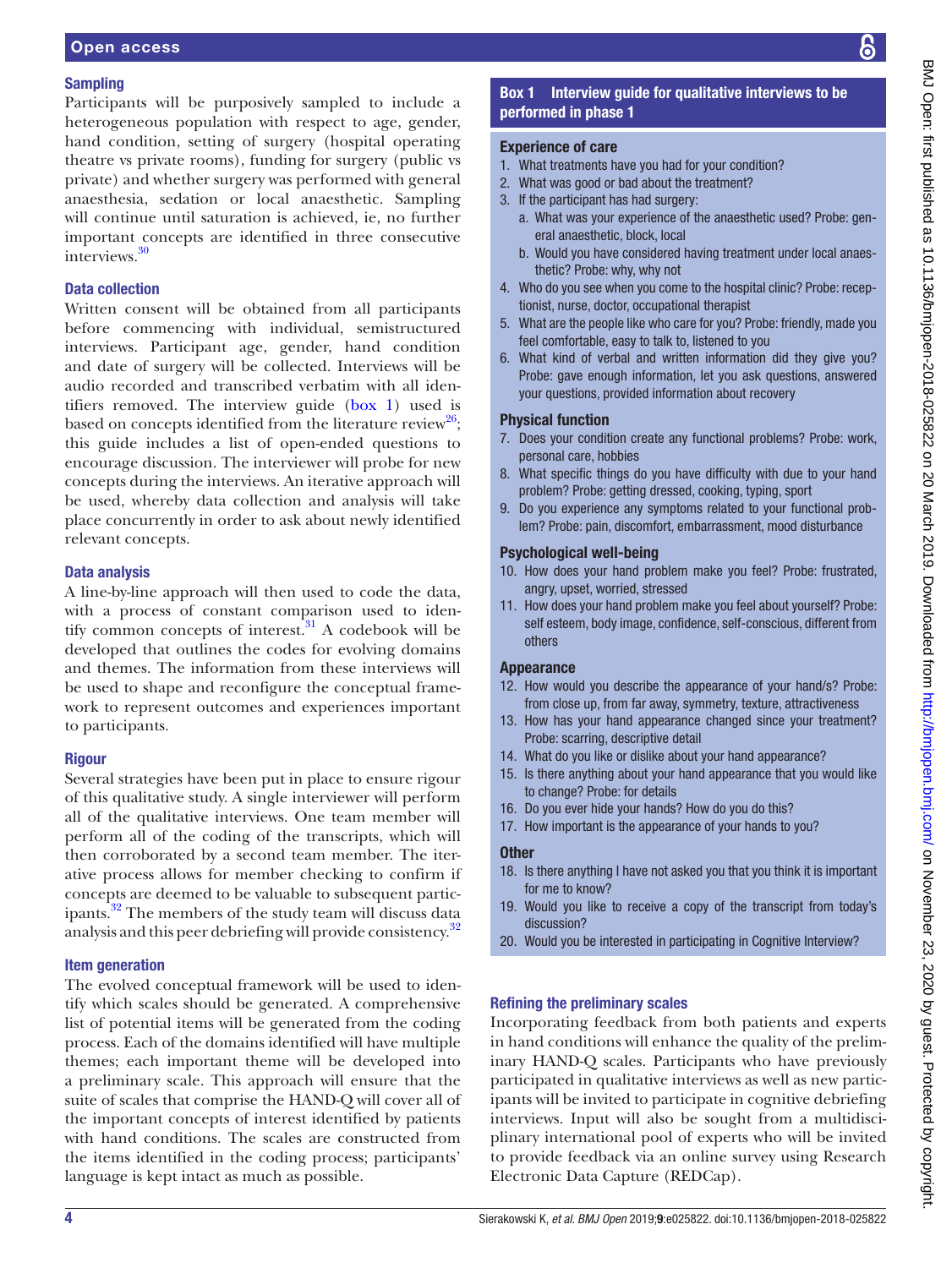# **Sampling**

Participants will be purposively sampled to include a heterogeneous population with respect to age, gender, hand condition, setting of surgery (hospital operating theatre vs private rooms), funding for surgery (public vs private) and whether surgery was performed with general anaesthesia, sedation or local anaesthetic. Sampling will continue until saturation is achieved, ie, no further important concepts are identified in three consecutive interviews[.30](#page-7-6)

# Data collection

Written consent will be obtained from all participants before commencing with individual, semistructured interviews. Participant age, gender, hand condition and date of surgery will be collected. Interviews will be audio recorded and transcribed verbatim with all identifiers removed. The interview guide [\(box](#page-3-0) 1) used is based on concepts identified from the literature review<sup>26</sup>; this guide includes a list of open-ended questions to encourage discussion. The interviewer will probe for new concepts during the interviews. An iterative approach will be used, whereby data collection and analysis will take place concurrently in order to ask about newly identified relevant concepts.

# Data analysis

A line-by-line approach will then used to code the data, with a process of constant comparison used to identify common concepts of interest. $31$  A codebook will be developed that outlines the codes for evolving domains and themes. The information from these interviews will be used to shape and reconfigure the conceptual framework to represent outcomes and experiences important to participants.

# Rigour

Several strategies have been put in place to ensure rigour of this qualitative study. A single interviewer will perform all of the qualitative interviews. One team member will perform all of the coding of the transcripts, which will then corroborated by a second team member. The iterative process allows for member checking to confirm if concepts are deemed to be valuable to subsequent participants.<sup>32</sup> The members of the study team will discuss data analysis and this peer debriefing will provide consistency.<sup>32</sup>

# Item generation

The evolved conceptual framework will be used to identify which scales should be generated. A comprehensive list of potential items will be generated from the coding process. Each of the domains identified will have multiple themes; each important theme will be developed into a preliminary scale. This approach will ensure that the suite of scales that comprise the HAND-Q will cover all of the important concepts of interest identified by patients with hand conditions. The scales are constructed from the items identified in the coding process; participants' language is kept intact as much as possible.

eral anaesthetic, block, local b. Would you have considered having treatment under local anaesthetic? Probe: why, why not

Box 1 Interview guide for qualitative interviews to be

1. What treatments have you had for your condition? 2. What was good or bad about the treatment? 3. If the participant has had surgery:

4. Who do you see when you come to the hospital clinic? Probe: receptionist, nurse, doctor, occupational therapist

a. What was your experience of the anaesthetic used? Probe: gen-

- 5. What are the people like who care for you? Probe: friendly, made you feel comfortable, easy to talk to, listened to you
- 6. What kind of verbal and written information did they give you? Probe: gave enough information, let you ask questions, answered your questions, provided information about recovery

# Physical function

performed in phase 1

<span id="page-3-0"></span>Experience of care

- 7. Does your condition create any functional problems? Probe: work, personal care, hobbies
- 8. What specific things do you have difficulty with due to your hand problem? Probe: getting dressed, cooking, typing, sport
- 9. Do you experience any symptoms related to your functional problem? Probe: pain, discomfort, embarrassment, mood disturbance

# Psychological well-being

- 10. How does your hand problem make you feel? Probe: frustrated, angry, upset, worried, stressed
- 11. How does your hand problem make you feel about yourself? Probe: self esteem, body image, confidence, self-conscious, different from others

# Appearance

- 12. How would you describe the appearance of your hand/s? Probe: from close up, from far away, symmetry, texture, attractiveness
- 13. How has your hand appearance changed since your treatment? Probe: scarring, descriptive detail
- 14. What do you like or dislike about your hand appearance?
- 15. Is there anything about your hand appearance that you would like to change? Probe: for details
- 16. Do you ever hide your hands? How do you do this?
- 17. How important is the appearance of your hands to you?

# **Other**

- 18. Is there anything I have not asked you that you think it is important for me to know?
- 19. Would you like to receive a copy of the transcript from today's discussion?
- 20. Would you be interested in participating in Cognitive Interview?

# Refining the preliminary scales

Incorporating feedback from both patients and experts in hand conditions will enhance the quality of the preliminary HAND-Q scales. Participants who have previously participated in qualitative interviews as well as new participants will be invited to participate in cognitive debriefing interviews. Input will also be sought from a multidisciplinary international pool of experts who will be invited to provide feedback via an online survey using Research Electronic Data Capture (REDCap).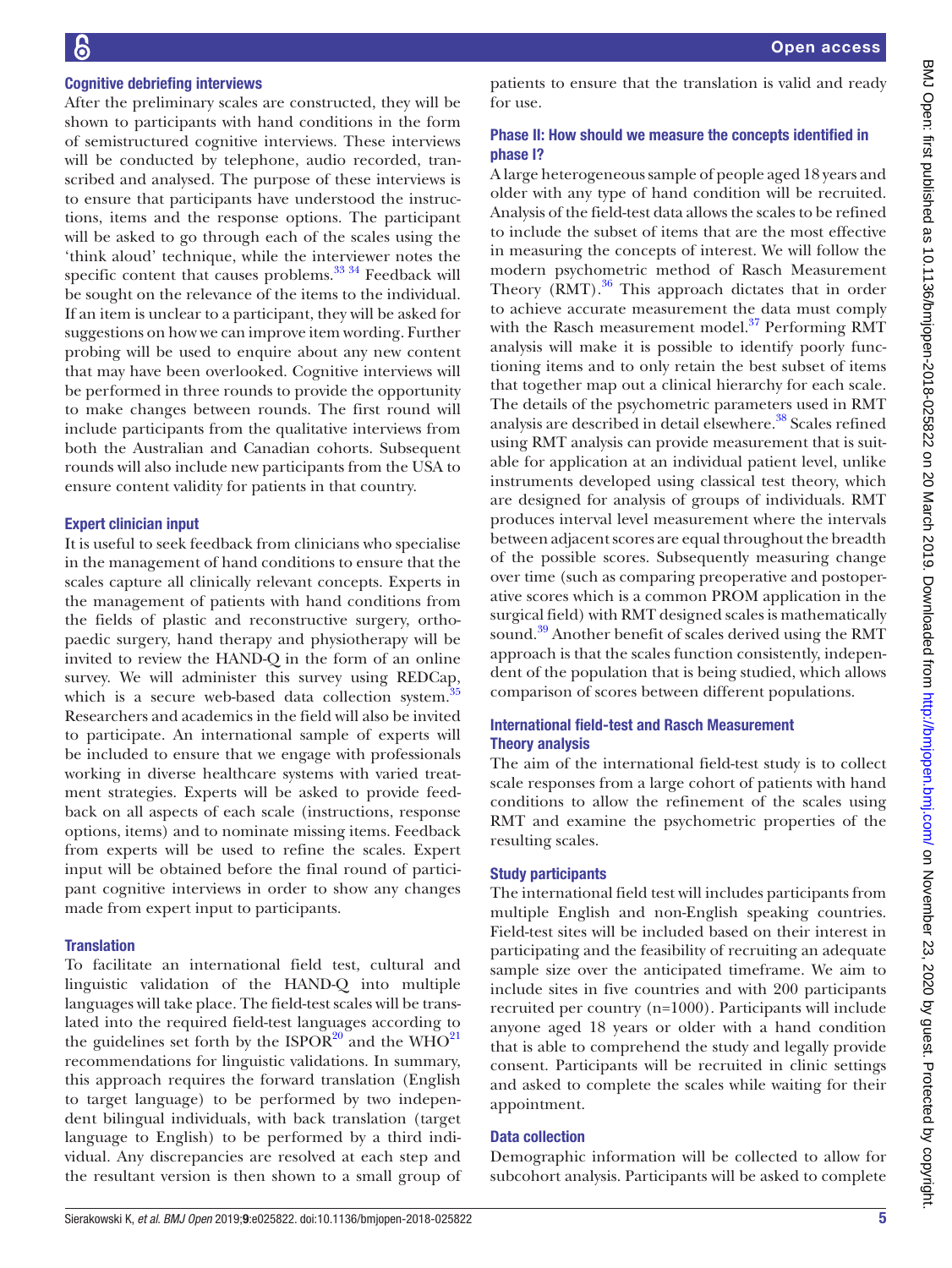# Cognitive debriefing interviews

After the preliminary scales are constructed, they will be shown to participants with hand conditions in the form of semistructured cognitive interviews. These interviews will be conducted by telephone, audio recorded, transcribed and analysed. The purpose of these interviews is to ensure that participants have understood the instructions, items and the response options. The participant will be asked to go through each of the scales using the 'think aloud' technique, while the interviewer notes the specific content that causes problems. $33 \frac{34}{15}$  Feedback will be sought on the relevance of the items to the individual. If an item is unclear to a participant, they will be asked for suggestions on how we can improve item wording. Further probing will be used to enquire about any new content that may have been overlooked. Cognitive interviews will be performed in three rounds to provide the opportunity to make changes between rounds. The first round will include participants from the qualitative interviews from both the Australian and Canadian cohorts. Subsequent rounds will also include new participants from the USA to ensure content validity for patients in that country.

#### Expert clinician input

It is useful to seek feedback from clinicians who specialise in the management of hand conditions to ensure that the scales capture all clinically relevant concepts. Experts in the management of patients with hand conditions from the fields of plastic and reconstructive surgery, orthopaedic surgery, hand therapy and physiotherapy will be invited to review the HAND-Q in the form of an online survey. We will administer this survey using REDCap, which is a secure web-based data collection system.<sup>3</sup> Researchers and academics in the field will also be invited to participate. An international sample of experts will be included to ensure that we engage with professionals working in diverse healthcare systems with varied treatment strategies. Experts will be asked to provide feedback on all aspects of each scale (instructions, response options, items) and to nominate missing items. Feedback from experts will be used to refine the scales. Expert input will be obtained before the final round of participant cognitive interviews in order to show any changes made from expert input to participants.

## **Translation**

To facilitate an international field test, cultural and linguistic validation of the HAND-Q into multiple languages will take place. The field-test scales will be translated into the required field-test languages according to the guidelines set forth by the ISPOR<sup>20</sup> and the WHO<sup>21</sup> recommendations for linguistic validations. In summary, this approach requires the forward translation (English to target language) to be performed by two independent bilingual individuals, with back translation (target language to English) to be performed by a third individual. Any discrepancies are resolved at each step and the resultant version is then shown to a small group of patients to ensure that the translation is valid and ready for use.

### Phase II: How should we measure the concepts identified in phase I?

A large heterogeneous sample of people aged 18 years and older with any type of hand condition will be recruited. Analysis of the field-test data allows the scales to be refined to include the subset of items that are the most effective in measuring the concepts of interest. We will follow the modern psychometric method of Rasch Measurement Theory  $(RMT)$ .<sup>36</sup> This approach dictates that in order to achieve accurate measurement the data must comply with the Rasch measurement model.<sup>[37](#page-7-13)</sup> Performing RMT analysis will make it is possible to identify poorly functioning items and to only retain the best subset of items that together map out a clinical hierarchy for each scale. The details of the psychometric parameters used in RMT analysis are described in detail elsewhere.<sup>[38](#page-7-14)</sup> Scales refined using RMT analysis can provide measurement that is suitable for application at an individual patient level, unlike instruments developed using classical test theory, which are designed for analysis of groups of individuals. RMT produces interval level measurement where the intervals between adjacent scores are equal throughout the breadth of the possible scores. Subsequently measuring change over time (such as comparing preoperative and postoperative scores which is a common PROM application in the surgical field) with RMT designed scales is mathematically sound.<sup>[39](#page-7-15)</sup> Another benefit of scales derived using the RMT approach is that the scales function consistently, independent of the population that is being studied, which allows comparison of scores between different populations.

## International field-test and Rasch Measurement Theory analysis

The aim of the international field-test study is to collect scale responses from a large cohort of patients with hand conditions to allow the refinement of the scales using RMT and examine the psychometric properties of the resulting scales.

#### Study participants

The international field test will includes participants from multiple English and non-English speaking countries. Field-test sites will be included based on their interest in participating and the feasibility of recruiting an adequate sample size over the anticipated timeframe. We aim to include sites in five countries and with 200 participants recruited per country (n=1000). Participants will include anyone aged 18 years or older with a hand condition that is able to comprehend the study and legally provide consent. Participants will be recruited in clinic settings and asked to complete the scales while waiting for their appointment.

#### Data collection

Demographic information will be collected to allow for subcohort analysis. Participants will be asked to complete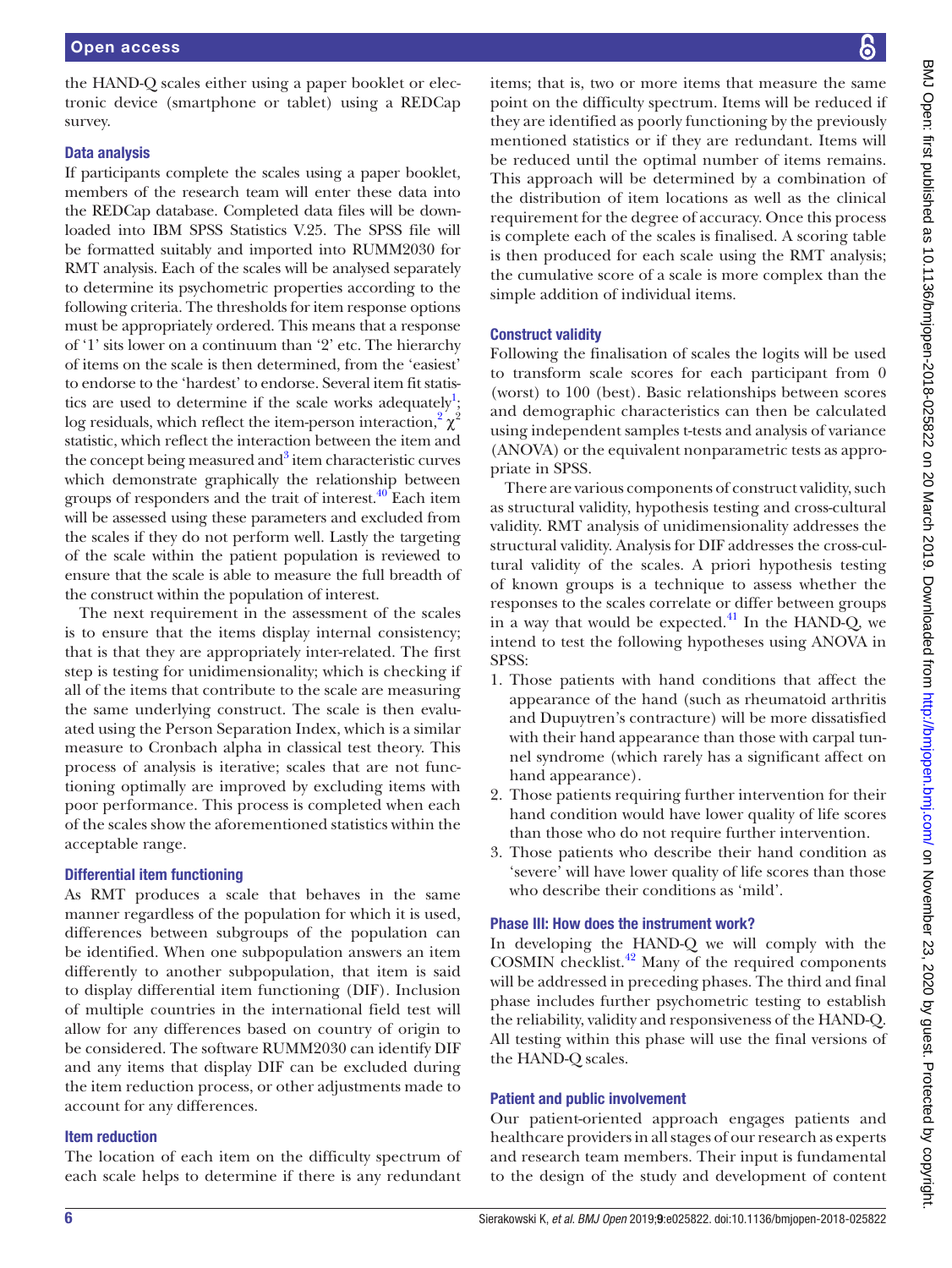the HAND-Q scales either using a paper booklet or electronic device (smartphone or tablet) using a REDCap survey.

## Data analysis

If participants complete the scales using a paper booklet, members of the research team will enter these data into the REDCap database. Completed data files will be downloaded into IBM SPSS Statistics V.25. The SPSS file will be formatted suitably and imported into RUMM2030 for RMT analysis. Each of the scales will be analysed separately to determine its psychometric properties according to the following criteria. The thresholds for item response options must be appropriately ordered. This means that a response of '1' sits lower on a continuum than '2' etc. The hierarchy of items on the scale is then determined, from the 'easiest' to endorse to the 'hardest' to endorse. Several item fit statistics are used to determine if the scale works adequately<sup>1</sup>; log residuals, which reflect the item-person interaction,  $\chi^2 \chi^2$  $\chi^2 \chi^2$  $\chi^2 \chi^2$ statistic, which reflect the interaction between the item and the concept being measured and<sup>3</sup> item characteristic curves which demonstrate graphically the relationship between groups of responders and the trait of interest. $40$  Each item will be assessed using these parameters and excluded from the scales if they do not perform well. Lastly the targeting of the scale within the patient population is reviewed to ensure that the scale is able to measure the full breadth of the construct within the population of interest.

The next requirement in the assessment of the scales is to ensure that the items display internal consistency; that is that they are appropriately inter-related. The first step is testing for unidimensionality; which is checking if all of the items that contribute to the scale are measuring the same underlying construct. The scale is then evaluated using the Person Separation Index, which is a similar measure to Cronbach alpha in classical test theory. This process of analysis is iterative; scales that are not functioning optimally are improved by excluding items with poor performance. This process is completed when each of the scales show the aforementioned statistics within the acceptable range.

#### Differential item functioning

As RMT produces a scale that behaves in the same manner regardless of the population for which it is used, differences between subgroups of the population can be identified. When one subpopulation answers an item differently to another subpopulation, that item is said to display differential item functioning (DIF). Inclusion of multiple countries in the international field test will allow for any differences based on country of origin to be considered. The software RUMM2030 can identify DIF and any items that display DIF can be excluded during the item reduction process, or other adjustments made to account for any differences.

#### Item reduction

The location of each item on the difficulty spectrum of each scale helps to determine if there is any redundant

items; that is, two or more items that measure the same point on the difficulty spectrum. Items will be reduced if they are identified as poorly functioning by the previously mentioned statistics or if they are redundant. Items will be reduced until the optimal number of items remains. This approach will be determined by a combination of the distribution of item locations as well as the clinical requirement for the degree of accuracy. Once this process is complete each of the scales is finalised. A scoring table is then produced for each scale using the RMT analysis; the cumulative score of a scale is more complex than the simple addition of individual items.

# Construct validity

Following the finalisation of scales the logits will be used to transform scale scores for each participant from 0 (worst) to 100 (best). Basic relationships between scores and demographic characteristics can then be calculated using independent samples t-tests and analysis of variance (ANOVA) or the equivalent nonparametric tests as appropriate in SPSS.

There are various components of construct validity, such as structural validity, hypothesis testing and cross-cultural validity. RMT analysis of unidimensionality addresses the structural validity. Analysis for DIF addresses the cross-cultural validity of the scales. A priori hypothesis testing of known groups is a technique to assess whether the responses to the scales correlate or differ between groups in a way that would be expected. $^{41}$  In the HAND-Q, we intend to test the following hypotheses using ANOVA in SPSS:

- 1. Those patients with hand conditions that affect the appearance of the hand (such as rheumatoid arthritis and Dupuytren's contracture) will be more dissatisfied with their hand appearance than those with carpal tunnel syndrome (which rarely has a significant affect on hand appearance).
- 2. Those patients requiring further intervention for their hand condition would have lower quality of life scores than those who do not require further intervention.
- 3. Those patients who describe their hand condition as 'severe' will have lower quality of life scores than those who describe their conditions as 'mild'.

# Phase III: How does the instrument work?

In developing the HAND-Q we will comply with the COSMIN checklist[.42](#page-7-18) Many of the required components will be addressed in preceding phases. The third and final phase includes further psychometric testing to establish the reliability, validity and responsiveness of the HAND-Q. All testing within this phase will use the final versions of the HAND-Q scales.

# Patient and public involvement

Our patient-oriented approach engages patients and healthcare providers in all stages of our research as experts and research team members. Their input is fundamental to the design of the study and development of content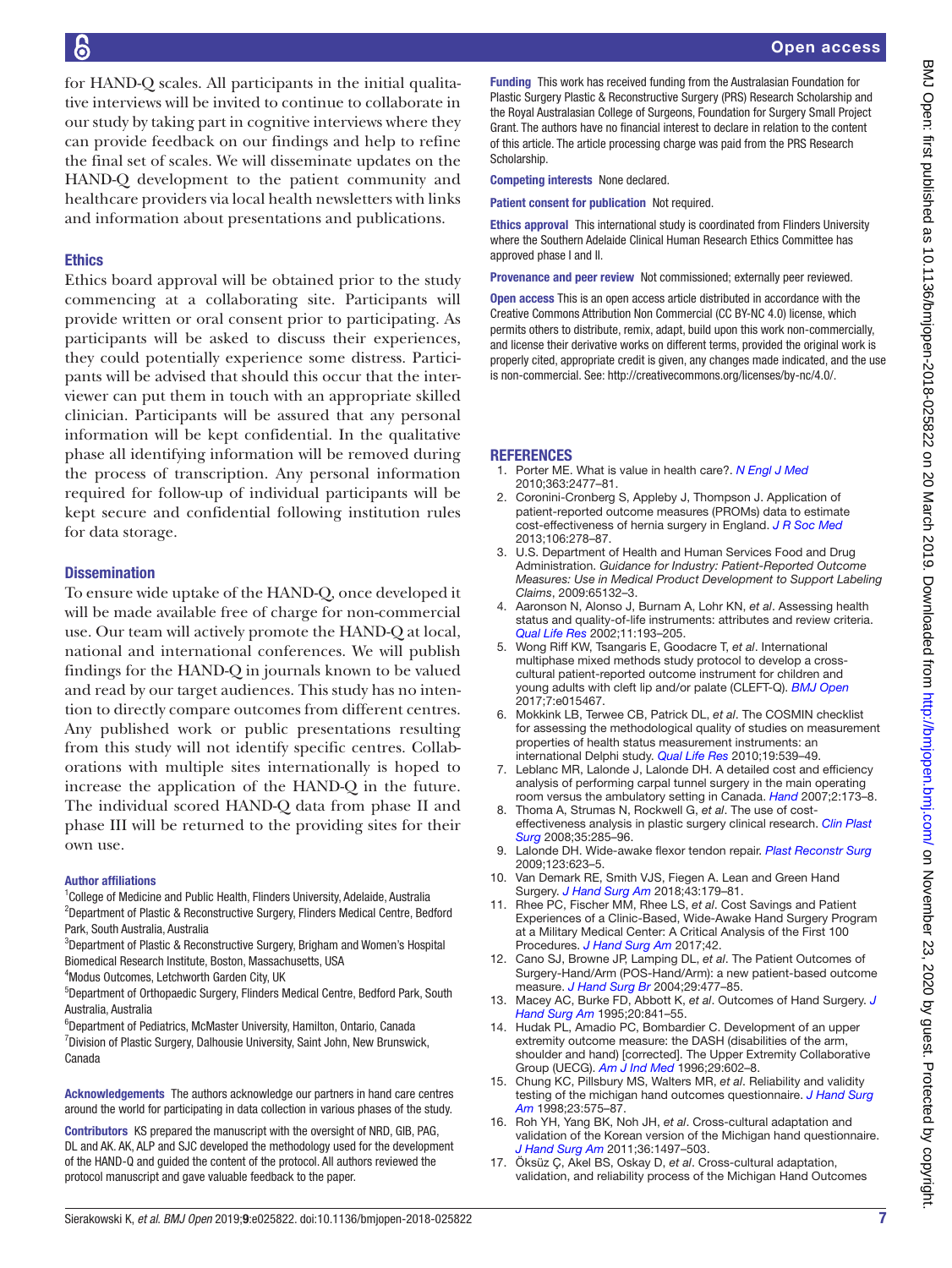for HAND-Q scales. All participants in the initial qualitative interviews will be invited to continue to collaborate in our study by taking part in cognitive interviews where they can provide feedback on our findings and help to refine the final set of scales. We will disseminate updates on the HAND-Q development to the patient community and healthcare providers via local health newsletters with links and information about presentations and publications.

## Ethics

6

Ethics board approval will be obtained prior to the study commencing at a collaborating site. Participants will provide written or oral consent prior to participating. As participants will be asked to discuss their experiences, they could potentially experience some distress. Participants will be advised that should this occur that the interviewer can put them in touch with an appropriate skilled clinician. Participants will be assured that any personal information will be kept confidential. In the qualitative phase all identifying information will be removed during the process of transcription. Any personal information required for follow-up of individual participants will be kept secure and confidential following institution rules for data storage.

#### **Dissemination**

To ensure wide uptake of the HAND-Q, once developed it will be made available free of charge for non-commercial use. Our team will actively promote the HAND-Q at local, national and international conferences. We will publish findings for the HAND-Q in journals known to be valued and read by our target audiences. This study has no intention to directly compare outcomes from different centres. Any published work or public presentations resulting from this study will not identify specific centres. Collaborations with multiple sites internationally is hoped to increase the application of the HAND-Q in the future. The individual scored HAND-Q data from phase II and phase III will be returned to the providing sites for their own use.

#### Author affiliations

<sup>1</sup>College of Medicine and Public Health, Flinders University, Adelaide, Australia <sup>2</sup>Department of Plastic & Reconstructive Surgery, Flinders Medical Centre, Bedford Park, South Australia, Australia

<sup>3</sup>Department of Plastic & Reconstructive Surgery, Brigham and Women's Hospital Biomedical Research Institute, Boston, Massachusetts, USA

4 Modus Outcomes, Letchworth Garden City, UK

5 Department of Orthopaedic Surgery, Flinders Medical Centre, Bedford Park, South Australia, Australia

6 Department of Pediatrics, McMaster University, Hamilton, Ontario, Canada <sup>7</sup> Division of Plastic Surgery, Dalhousie University, Saint John, New Brunswick, Canada

Acknowledgements The authors acknowledge our partners in hand care centres around the world for participating in data collection in various phases of the study.

Contributors KS prepared the manuscript with the oversight of NRD, GIB, PAG, DL and AK. AK, ALP and SJC developed the methodology used for the development of the HAND-Q and guided the content of the protocol. All authors reviewed the protocol manuscript and gave valuable feedback to the paper.

Funding This work has received funding from the Australasian Foundation for Plastic Surgery Plastic & Reconstructive Surgery (PRS) Research Scholarship and the Royal Australasian College of Surgeons, Foundation for Surgery Small Project Grant. The authors have no financial interest to declare in relation to the content of this article. The article processing charge was paid from the PRS Research Scholarship.

Competing interests None declared.

Patient consent for publication Not required.

Ethics approval This international study is coordinated from Flinders University where the Southern Adelaide Clinical Human Research Ethics Committee has approved phase I and II.

Provenance and peer review Not commissioned; externally peer reviewed.

Open access This is an open access article distributed in accordance with the Creative Commons Attribution Non Commercial (CC BY-NC 4.0) license, which permits others to distribute, remix, adapt, build upon this work non-commercially, and license their derivative works on different terms, provided the original work is properly cited, appropriate credit is given, any changes made indicated, and the use is non-commercial. See: [http://creativecommons.org/licenses/by-nc/4.0/.](http://creativecommons.org/licenses/by-nc/4.0/)

#### **REFERENCES**

- <span id="page-6-0"></span>1. Porter ME. What is value in health care?. *[N Engl J Med](http://dx.doi.org/10.1056/NEJMp1011024)* 2010;363:2477–81.
- <span id="page-6-12"></span>2. Coronini-Cronberg S, Appleby J, Thompson J. Application of patient-reported outcome measures (PROMs) data to estimate cost-effectiveness of hernia surgery in England. *[J R Soc Med](http://dx.doi.org/10.1177/0141076813489679)* 2013;106:278–87.
- <span id="page-6-1"></span>3. U.S. Department of Health and Human Services Food and Drug Administration. *Guidance for Industry: Patient-Reported Outcome Measures: Use in Medical Product Development to Support Labeling Claims*, 2009:65132–3.
- <span id="page-6-10"></span>4. Aaronson N, Alonso J, Burnam A, Lohr KN, *et al*. Assessing health status and quality-of-life instruments: attributes and review criteria. *[Qual Life Res](http://dx.doi.org/10.1023/A:1015291021312)* 2002;11:193–205.
- <span id="page-6-2"></span>5. Wong Riff KW, Tsangaris E, Goodacre T, *et al*. International multiphase mixed methods study protocol to develop a crosscultural patient-reported outcome instrument for children and young adults with cleft lip and/or palate (CLEFT-Q). *[BMJ Open](http://dx.doi.org/10.1136/bmjopen-2016-015467)* 2017;7:e015467.
- <span id="page-6-11"></span>6. Mokkink LB, Terwee CB, Patrick DL, *et al*. The COSMIN checklist for assessing the methodological quality of studies on measurement properties of health status measurement instruments: an international Delphi study. *[Qual Life Res](http://dx.doi.org/10.1007/s11136-010-9606-8)* 2010;19:539–49.
- 7. Leblanc MR, Lalonde J, Lalonde DH. A detailed cost and efficiency analysis of performing carpal tunnel surgery in the main operating room versus the ambulatory setting in Canada. *[Hand](http://dx.doi.org/10.1007/s11552-007-9043-5)* 2007;2:173–8.
- 8. Thoma A, Strumas N, Rockwell G, *et al*. The use of costeffectiveness analysis in plastic surgery clinical research. *[Clin Plast](http://dx.doi.org/10.1016/j.cps.2007.10.012)  [Surg](http://dx.doi.org/10.1016/j.cps.2007.10.012)* 2008;35:285–96.
- <span id="page-6-3"></span>9. Lalonde DH. Wide-awake flexor tendon repair. *[Plast Reconstr Surg](http://dx.doi.org/10.1097/PRS.0b013e318195664c)* 2009;123:623–5.
- <span id="page-6-4"></span>10. Van Demark RE, Smith VJS, Fiegen A. Lean and Green Hand Surgery. *[J Hand Surg Am](http://dx.doi.org/10.1016/j.jhsa.2017.11.007)* 2018;43:179–81.
- 11. Rhee PC, Fischer MM, Rhee LS, *et al*. Cost Savings and Patient Experiences of a Clinic-Based, Wide-Awake Hand Surgery Program at a Military Medical Center: A Critical Analysis of the First 100 Procedures. *[J Hand Surg Am](http://dx.doi.org/10.1016/j.jhsa.2016.11.019)* 2017;42.
- <span id="page-6-5"></span>12. Cano SJ, Browne JP, Lamping DL, *et al*. The Patient Outcomes of Surgery-Hand/Arm (POS-Hand/Arm): a new patient-based outcome measure. *[J Hand Surg Br](http://dx.doi.org/10.1016/J.JHSB.2004.06.002)* 2004;29:477–85.
- <span id="page-6-6"></span>13. Macey AC, Burke FD, Abbott K, *et al*. Outcomes of Hand Surgery. *[J](http://dx.doi.org/10.1016/S0266-7681(95)80059-X)  [Hand Surg Am](http://dx.doi.org/10.1016/S0266-7681(95)80059-X)* 1995;20:841–55.
- <span id="page-6-7"></span>14. Hudak PL, Amadio PC, Bombardier C. Development of an upper extremity outcome measure: the DASH (disabilities of the arm, shoulder and hand) [corrected]. The Upper Extremity Collaborative Group (UECG). *[Am J Ind Med](http://dx.doi.org/10.1002/(SICI)1097-0274(199606)29:6<602::AID-AJIM4>3.0.CO;2-L)* 1996;29:602–8.
- <span id="page-6-8"></span>15. Chung KC, Pillsbury MS, Walters MR, *et al*. Reliability and validity testing of the michigan hand outcomes questionnaire. *[J Hand Surg](http://dx.doi.org/10.1016/S0363-5023(98)80042-7)  [Am](http://dx.doi.org/10.1016/S0363-5023(98)80042-7)* 1998;23:575–87.
- <span id="page-6-9"></span>16. Roh YH, Yang BK, Noh JH, *et al*. Cross-cultural adaptation and validation of the Korean version of the Michigan hand questionnaire. *[J Hand Surg Am](http://dx.doi.org/10.1016/j.jhsa.2011.06.006)* 2011;36:1497–503.
- 17. Öksüz Ç, Akel BS, Oskay D, *et al*. Cross-cultural adaptation, validation, and reliability process of the Michigan Hand Outcomes